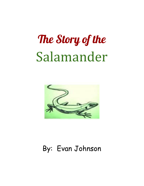# The Story of the Salamander



### By: Evan Johnson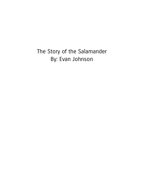### The Story of the Salamander By: Evan Johnson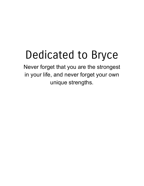## Dedicated to Bryce

Never forget that you are the strongest in your life, and never forget your own unique strengths.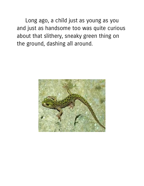Long ago, a child just as young as you and just as handsome too was quite curious about that slithery, sneaky green thing on the ground, dashing all around.

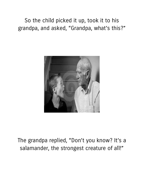So the child picked it up, took it to his grandpa, and asked, "Grandpa, what's this?"



### The grandpa replied, "Don't you know? It's a salamander, the strongest creature of all!"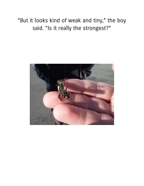"But it looks kind of weak and tiny, " the boy said. "Is it really the strongest?"

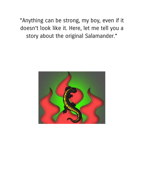"Anything can be strong, my boy, even if it doesn't look like it. Here, let me tell you a story about the original Salamander."

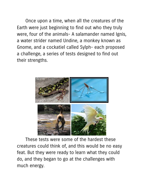Once upon a time, when all the creatures of the Earth were just beginning to find out who they truly were, four of the animals- A salamander named Ignis, a water strider named Undine, a monkey known as Gnome, and a cockatiel called Sylph- each proposed a challenge, a series of tests designed to find out their strengths.



These tests were some of the hardest these creatures could think of, and this would be no easy feat. But they were ready to learn what they could do, and they began to go at the challenges with much energy.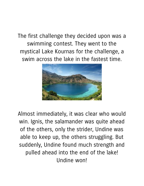The first challenge they decided upon was a swimming contest. They went to the mystical Lake Kournas for the challenge, a swim across the lake in the fastest time.



Almost immediately, it was clear who would win. Ignis, the salamander was quite ahead of the others, only the strider, Undine was able to keep up, the others struggling. But suddenly, Undine found much strength and pulled ahead into the end of the lake! Undine won!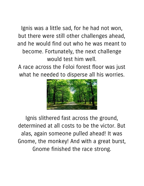Ignis was a little sad, for he had not won, but there were still other challenges ahead, and he would find out who he was meant to become. Fortunately, the next challenge would test him well.

A race across the Foloi forest floor was just what he needed to disperse all his worries.



Ignis slithered fast across the ground, determined at all costs to be the victor. But alas, again someone pulled ahead! It was Gnome, the monkey! And with a great burst, Gnome finished the race strong.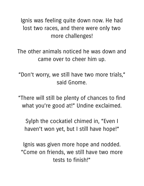Ignis was feeling quite down now. He had lost two races, and there were only two more challenges!

The other animals noticed he was down and came over to cheer him up.

"Don't worry, we still have two more trials, " said Gnome.

"There will still be plenty of chances to find what you're good at!" Undine exclaimed.

Sylph the cockatiel chimed in, "Even I haven't won yet, but I still have hope!"

Ignis was given more hope and nodded. "Come on friends, we still have two more tests to finish!"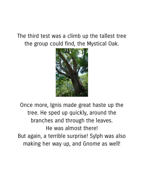#### The third test was a climb up the tallest tree the group could find, the Mystical Oak.



Once more, Ignis made great haste up the tree. He sped up quickly, around the branches and through the leaves. He was almost there! But again, a terrible surprise! Sylph was also making her way up, and Gnome as well!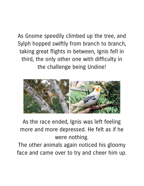As Gnome speedily climbed up the tree, and Sylph hopped swiftly from branch to branch, taking great flights in between, Ignis fell in third, the only other one with difficulty in the challenge being Undine!



As the race ended, Ignis was left feeling more and more depressed. He felt as if he were nothing.

The other animals again noticed his gloomy face and came over to try and cheer him up.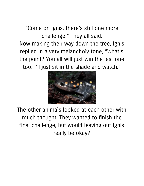"Come on Ignis, there's still one more challenge!" They all said. Now making their way down the tree, Ignis replied in a very melancholy tone, "What's the point? You all will just win the last one too. I'll just sit in the shade and watch."



The other animals looked at each other with much thought. They wanted to finish the final challenge, but would leaving out Ignis really be okay?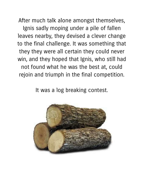After much talk alone amongst themselves, Ignis sadly moping under a pile of fallen leaves nearby, they devised a clever change to the final challenge. It was something that they they were all certain they could never win, and they hoped that Ignis, who still had not found what he was the best at, could rejoin and triumph in the final competition.

It was a log breaking contest.

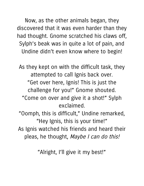Now, as the other animals began, they discovered that it was even harder than they had thought. Gnome scratched his claws off, Sylph's beak was in quite a lot of pain, and Undine didn't even know where to begin!

As they kept on with the difficult task, they attempted to call Ignis back over. "Get over here, Ignis! This is just the challenge for you!" Gnome shouted. "Come on over and give it a shot!" Sylph exclaimed. "Oomph, this is difficult, " Undine remarked, "Hey Ignis, this is your time!" As Ignis watched his friends and heard their

pleas, he thought, Maybe I can do this!

"Alright, I'll give it my best!"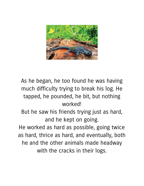

As he began, he too found he was having much difficulty trying to break his log. He tapped, he pounded, he bit, but nothing worked!

But he saw his friends trying just as hard, and he kept on going.

He worked as hard as possible, going twice as hard, thrice as hard, and eventually, both he and the other animals made headway with the cracks in their logs.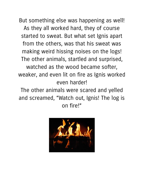But something else was happening as well! As they all worked hard, they of course started to sweat. But what set Ignis apart from the others, was that his sweat was making weird hissing noises on the logs! The other animals, startled and surprised, watched as the wood became softer, weaker, and even lit on fire as Ignis worked even harder!

The other animals were scared and yelled and screamed, "Watch out, Ignis! The log is on fire!"

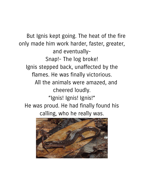But Ignis kept going. The heat of the fire only made him work harder, faster, greater, and eventually-Snap!- The log broke! Ignis stepped back, unaffected by the flames. He was finally victorious. All the animals were amazed, and cheered loudly. "Ignis! Ignis! Ignis!" He was proud. He had finally found his calling, who he really was.

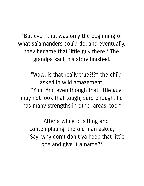"But even that was only the beginning of what salamanders could do, and eventually, they became that little guy there." The grandpa said, his story finished.

"Wow, is that really true?!?" the child asked in wild amazement. "Yup! And even though that little guy may not look that tough, sure enough, he has many strengths in other areas, too."

After a while of sitting and contemplating, the old man asked, "Say, why don't don't ya keep that little one and give it a name?"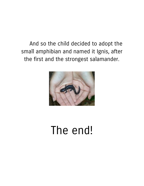And so the child decided to adopt the small amphibian and named it Ignis, after the first and the strongest salamander.



### The end!